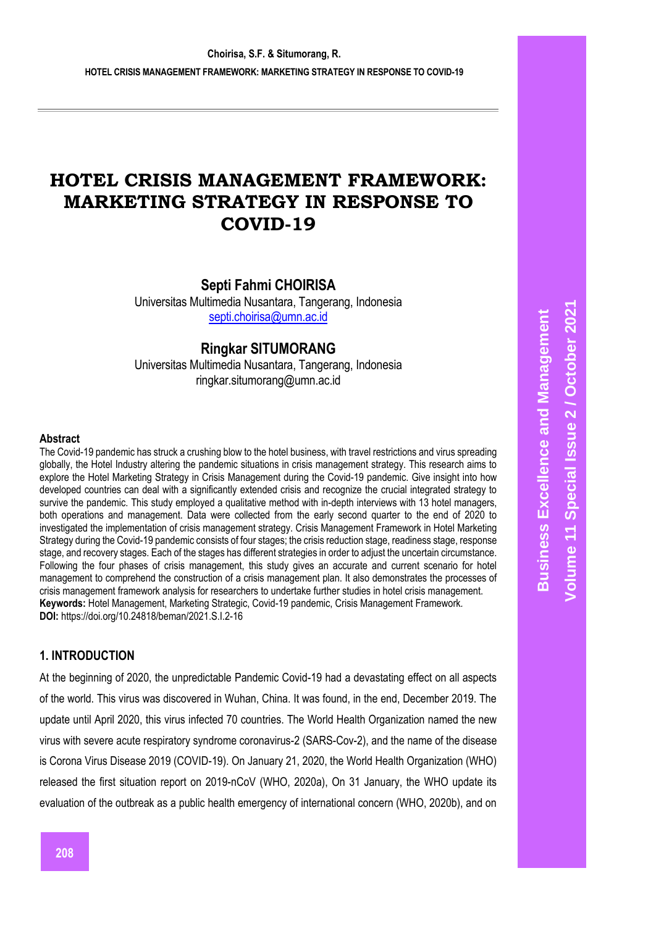# **HOTEL CRISIS MANAGEMENT FRAMEWORK: MARKETING STRATEGY IN RESPONSE TO COVID -19**

**Septi Fahmi CHOIRISA**

Universitas Multimedia Nusantara, Tangerang, Indonesia [septi.choirisa@umn.ac.id](mailto:septi.choirisa@umn.ac.id)

# **Ringkar SITUMORANG**

Universitas Multimedia Nusantara, Tangerang, Indonesia [ringkar.situmorang@umn.ac.id](mailto:ringkar.situmorang@umn.ac.id)

#### **Abstract**

The Covid -19 pandemic has struck a crushing blow to the hotel business, with travel restrictions and virus spreading globally, the Hotel Industry altering the pandemic situations in crisis management strategy. This research aims to explore the Hotel Marketing Strategy in Crisis Management during the Covid -19 pandemic. Give insight into how developed countries can deal with a significantly extended crisis and recognize the crucial integrated strategy to survive the pandemic. This study employed a qualitative method with in -depth interviews with 13 hotel managers, both operations and management. Data were collected from the early second quarter to the end of 2020 to investigated the implementation of crisis management strategy. Crisis Management Framework in Hotel Marketing Strategy during the Covid -19 pandemic consists of four stages; the crisis reduction stage, readiness stage, response stage, and recovery stages. Each of the stages has different strategies in order to adjust the uncertain circumstance. Following the four phases of crisis management, this study gives an accurate and current scenario for hotel management to comprehend the construction of a crisis management plan. It also demonstrates the processes of crisis management framework analysis for researchers to undertake further studies in hotel crisis management. **Keywords:** Hotel Management, Marketing Strategic, Covid -19 pandemic, Crisis Management Framework*.* **DOI:** https://doi.org/10.24818/beman/2021.S.I.2 -16

## **1. INTRODUCTION**

At the beginning of 2020, the unpredictable Pandemic Covid -19 had a devastating effect on all aspects of the world. This virus was discovered in Wuhan, China. It was found, in the end, December 2019. The update until April 2020, this virus infected 70 countries. The World Health Organization named the new virus with severe acute respiratory syndrome coronavirus -2 (SARS -Cov -2), and the name of the disease is Corona Virus Disease 2019 (COVID -19). On January 21, 2020, the World Health Organization (WHO) released the first situation report on 2019 -nCoV (WHO, 2020a), On 31 January, the WHO update its evaluation of the outbreak as a public health emergency of international concern (WHO, 2020b), and on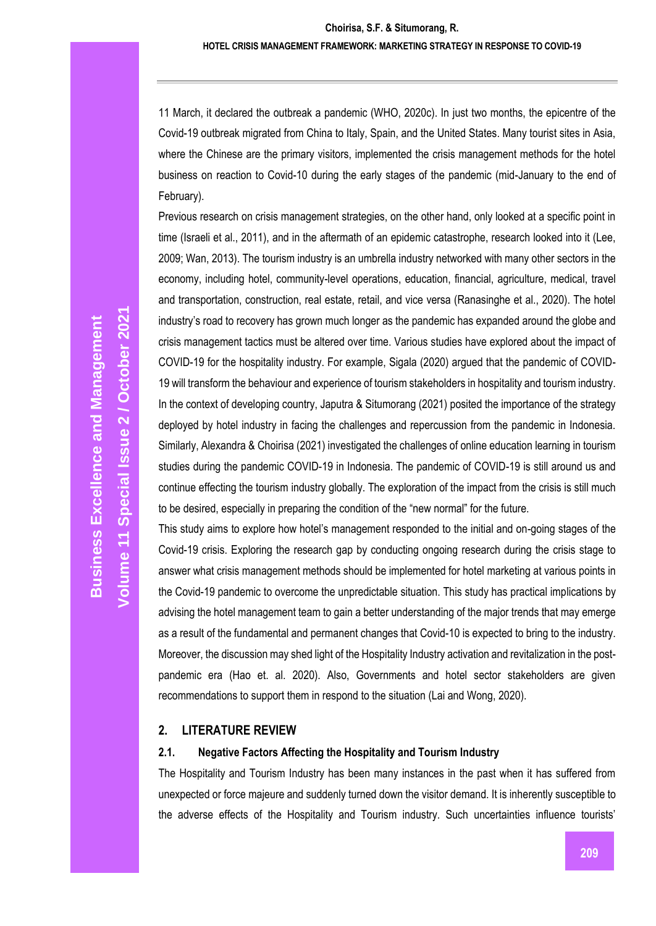11 March, it declared the outbreak a pandemic (WHO, 2020c). In just two months, the epicentre of the Covid-19 outbreak migrated from China to Italy, Spain, and the United States. Many tourist sites in Asia, where the Chinese are the primary visitors, implemented the crisis management methods for the hotel business on reaction to Covid-10 during the early stages of the pandemic (mid-January to the end of February).

Previous research on crisis management strategies, on the other hand, only looked at a specific point in time (Israeli et al., 2011), and in the aftermath of an epidemic catastrophe, research looked into it (Lee, 2009; Wan, 2013). The tourism industry is an umbrella industry networked with many other sectors in the economy, including hotel, community-level operations, education, financial, agriculture, medical, travel and transportation, construction, real estate, retail, and vice versa (Ranasinghe et al., 2020). The hotel industry's road to recovery has grown much longer as the pandemic has expanded around the globe and crisis management tactics must be altered over time. Various studies have explored about the impact of COVID-19 for the hospitality industry. For example, Sigala (2020) argued that the pandemic of COVID-19 will transform the behaviour and experience of tourism stakeholders in hospitality and tourism industry. In the context of developing country, Japutra & Situmorang (2021) posited the importance of the strategy deployed by hotel industry in facing the challenges and repercussion from the pandemic in Indonesia. Similarly, Alexandra & Choirisa (2021) investigated the challenges of online education learning in tourism studies during the pandemic COVID-19 in Indonesia. The pandemic of COVID-19 is still around us and continue effecting the tourism industry globally. The exploration of the impact from the crisis is still much to be desired, especially in preparing the condition of the "new normal" for the future.

This study aims to explore how hotel's management responded to the initial and on-going stages of the Covid-19 crisis. Exploring the research gap by conducting ongoing research during the crisis stage to answer what crisis management methods should be implemented for hotel marketing at various points in the Covid-19 pandemic to overcome the unpredictable situation. This study has practical implications by advising the hotel management team to gain a better understanding of the major trends that may emerge as a result of the fundamental and permanent changes that Covid-10 is expected to bring to the industry. Moreover, the discussion may shed light of the Hospitality Industry activation and revitalization in the postpandemic era (Hao et. al. 2020). Also, Governments and hotel sector stakeholders are given recommendations to support them in respond to the situation (Lai and Wong, 2020).

## **2. LITERATURE REVIEW**

## **2.1. Negative Factors Affecting the Hospitality and Tourism Industry**

The Hospitality and Tourism Industry has been many instances in the past when it has suffered from unexpected or force majeure and suddenly turned down the visitor demand. It is inherently susceptible to the adverse effects of the Hospitality and Tourism industry. Such uncertainties influence tourists'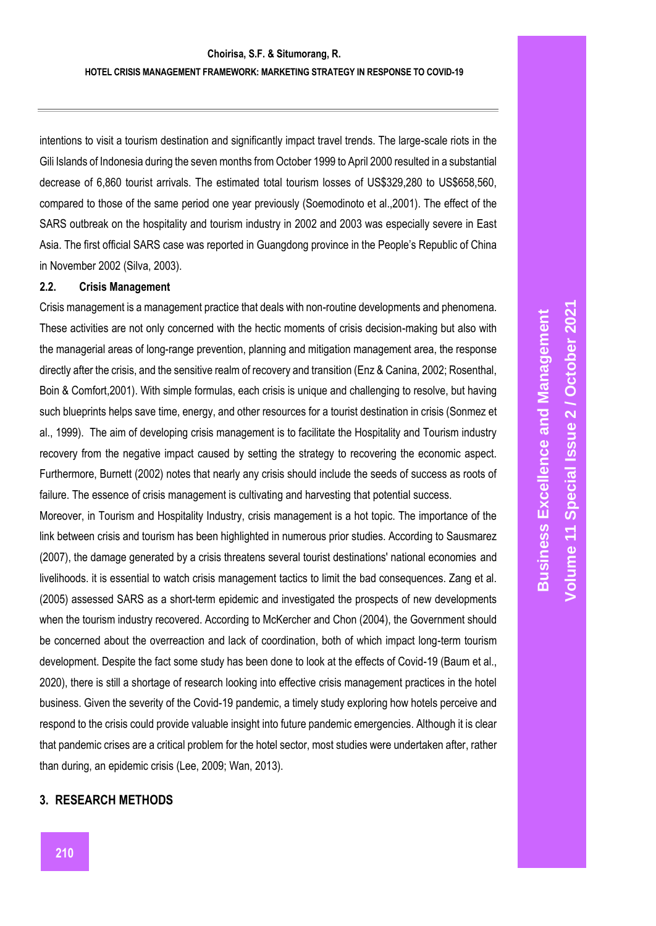intentions to visit a tourism destination and significantly impact travel trends. The large -scale riots in the Gili Islands of Indonesia during the seven months from October 1999 to April 2000 resulted in a substantial decrease of 6,860 tourist arrivals. The estimated total tourism losses of US\$329,280 to US\$658,560, compared to those of the same period one year previously (Soemodinoto et al.,2001). The effect of the SARS outbreak on the hospitality and tourism industry in 2002 and 2003 was especially severe in East Asia. The first official SARS case was reported in Guangdong province in the People's Republic of China in November 2002 (Silva, 2003).

#### **2.2. Crisis Management**

Crisis management is a management practice that deals with non -routine developments and phenomena. These activities are not only concerned with the hectic moments of crisis decision -making but also with the managerial areas of long-range prevention, planning and mitigation management area, the response directly after the crisis, and the sensitive realm of recovery and transition (Enz & Canina, 2002; Rosenthal, Boin & Comfort,2001). With simple formulas, each crisis is unique and challenging to resolve, but having such blueprints helps save time, energy, and other resources for a tourist destination in crisis (Sonmez et al., 1999). The aim of developing crisis management is to facilitate the Hospitality and Tourism industry recovery from the negative impact caused by setting the strategy to recovering the economic aspect. Furthermore, Burnett (2002) notes that nearly any crisis should include the seeds of success as roots of failure. The essence of crisis management is cultivating and harvesting that potential success.

Moreover, in Tourism and Hospitality Industry, crisis management is a hot topic. The importance of the link between crisis and tourism has been highlighted in numerous prior studies. According to Sausmarez (2007), the damage generated by a crisis threatens several tourist destinations' national economies and livelihoods. it is essential to watch crisis management tactics to limit the bad consequences. Zang et al. (2005) assessed SARS as a short -term epidemic and investigated the prospects of new developments when the tourism industry recovered. According to McKercher and Chon (2004), the Government should be concerned about the overreaction and lack of coordination, both of which impact long-term tourism development. Despite the fact some study has been done to look at the effects of Covid -19 (Baum et al., 2020), there is still a shortage of research looking into effective crisis management practices in the hotel business. Given the severity of the Covid -19 pandemic, a timely study exploring how hotels perceive and respond to the crisis could provide valuable insight into future pandemic emergencies. Although it is clear that pandemic crises are a critical problem for the hotel sector, most studies were undertaken after, rather than during, an epidemic crisis (Lee, 2009; Wan, 2013).

#### **3. RESEARCH METHODS**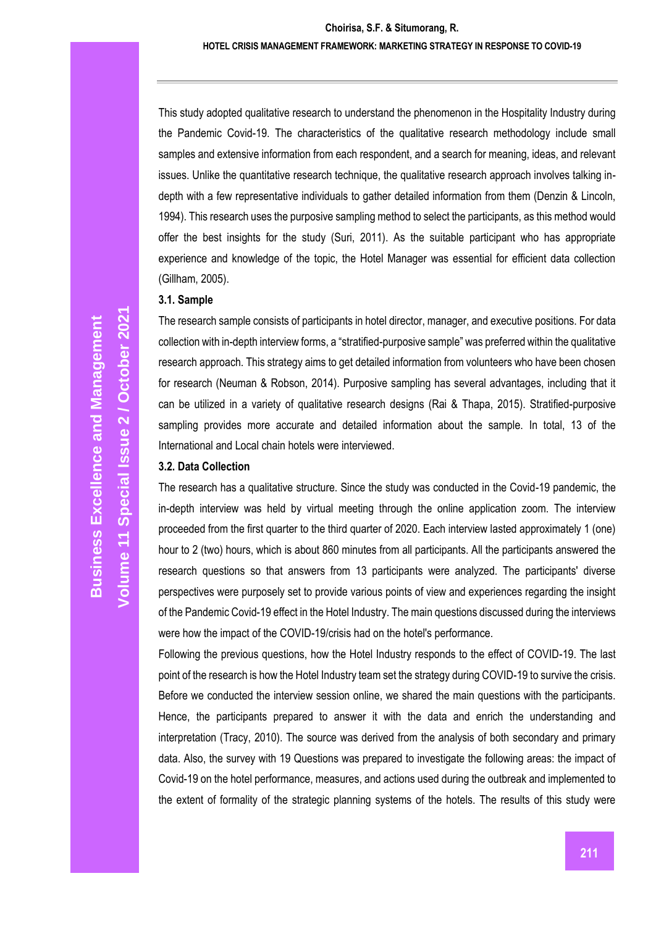#### **Choirisa, S.F. & Situmorang, R. HOTEL CRISIS MANAGEMENT FRAMEWORK: MARKETING STRATEGY IN RESPONSE TO COVID-19**

This study adopted qualitative research to understand the phenomenon in the Hospitality Industry during the Pandemic Covid-19. The characteristics of the qualitative research methodology include small samples and extensive information from each respondent, and a search for meaning, ideas, and relevant issues. Unlike the quantitative research technique, the qualitative research approach involves talking indepth with a few representative individuals to gather detailed information from them (Denzin & Lincoln, 1994). This research uses the purposive sampling method to select the participants, as this method would offer the best insights for the study (Suri, 2011). As the suitable participant who has appropriate experience and knowledge of the topic, the Hotel Manager was essential for efficient data collection (Gillham, 2005).

#### **3.1. Sample**

The research sample consists of participants in hotel director, manager, and executive positions. For data collection with in-depth interview forms, a "stratified-purposive sample" was preferred within the qualitative research approach. This strategy aims to get detailed information from volunteers who have been chosen for research (Neuman & Robson, 2014). Purposive sampling has several advantages, including that it can be utilized in a variety of qualitative research designs (Rai & Thapa, 2015). Stratified-purposive sampling provides more accurate and detailed information about the sample. In total, 13 of the International and Local chain hotels were interviewed.

#### **3.2. Data Collection**

The research has a qualitative structure. Since the study was conducted in the Covid-19 pandemic, the in-depth interview was held by virtual meeting through the online application zoom. The interview proceeded from the first quarter to the third quarter of 2020. Each interview lasted approximately 1 (one) hour to 2 (two) hours, which is about 860 minutes from all participants. All the participants answered the research questions so that answers from 13 participants were analyzed. The participants' diverse perspectives were purposely set to provide various points of view and experiences regarding the insight of the Pandemic Covid-19 effect in the Hotel Industry. The main questions discussed during the interviews were how the impact of the COVID-19/crisis had on the hotel's performance.

Following the previous questions, how the Hotel Industry responds to the effect of COVID-19. The last point of the research is how the Hotel Industry team set the strategy during COVID-19 to survive the crisis. Before we conducted the interview session online, we shared the main questions with the participants. Hence, the participants prepared to answer it with the data and enrich the understanding and interpretation (Tracy, 2010). The source was derived from the analysis of both secondary and primary data. Also, the survey with 19 Questions was prepared to investigate the following areas: the impact of Covid-19 on the hotel performance, measures, and actions used during the outbreak and implemented to the extent of formality of the strategic planning systems of the hotels. The results of this study were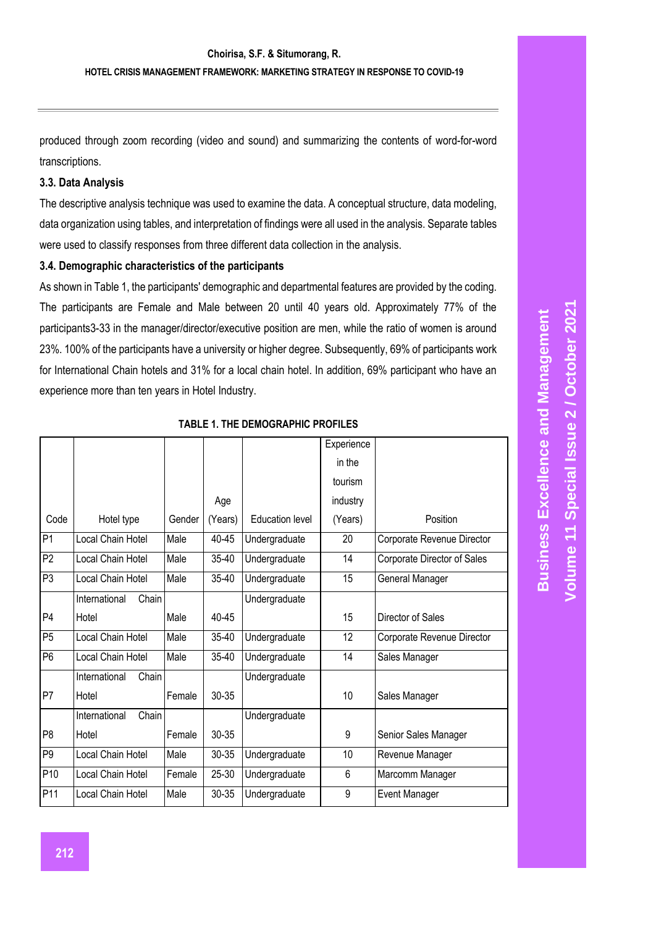produced through zoom recording (video and sound) and summarizing the contents of word -for -word transcriptions.

## **3.3. Data Analysis**

The descriptive analysis technique was used to examine the data. A conceptual structure, data modeling, data organization using tables, and interpretation of findings were all used in the analysis. Separate tables were used to classify responses from three different data collection in the analysis.

#### **3.4. Demographic characteristics of the participants**

As shown in Table 1, the participants' demographic and departmental features are provided by the coding. The participants are Female and Male between 20 until 40 years old. Approximately 77% of the participants3 -33 in the manager/director/executive position are men, while the ratio of women is around 23%. 100% of the participants have a university or higher degree. Subsequently, 69% of participants work for International Chain hotels and 31% for a local chain hotel. In addition, 69% participant who have an experience more than ten years in Hotel Industry.

|                 |                        |        |           |                        | Experience |                             |
|-----------------|------------------------|--------|-----------|------------------------|------------|-----------------------------|
|                 |                        |        |           |                        | in the     |                             |
|                 |                        |        |           |                        | tourism    |                             |
|                 |                        |        | Age       |                        | industry   |                             |
| Code            | Hotel type             | Gender | (Years)   | <b>Education level</b> | (Years)    | Position                    |
| P <sub>1</sub>  | Local Chain Hotel      | Male   | 40-45     | Undergraduate          | 20         | Corporate Revenue Director  |
| P <sub>2</sub>  | Local Chain Hotel      | Male   | 35-40     | Undergraduate          | 14         | Corporate Director of Sales |
| P <sub>3</sub>  | Local Chain Hotel      | Male   | 35-40     | Undergraduate          | 15         | General Manager             |
|                 | International<br>Chain |        |           | Undergraduate          |            |                             |
| P <sub>4</sub>  | Hotel                  | Male   | $40 - 45$ |                        | 15         | Director of Sales           |
| P <sub>5</sub>  | Local Chain Hotel      | Male   | 35-40     | Undergraduate          | 12         | Corporate Revenue Director  |
| $\overline{P6}$ | Local Chain Hotel      | Male   | 35-40     | Undergraduate          | 14         | Sales Manager               |
|                 | International<br>Chain |        |           | Undergraduate          |            |                             |
| P7              | Hotel                  | Female | 30-35     |                        | 10         | Sales Manager               |
|                 | Chain<br>International |        |           | Undergraduate          |            |                             |
| P <sub>8</sub>  | Hotel                  | Female | 30-35     |                        | 9          | Senior Sales Manager        |
| P <sub>9</sub>  | Local Chain Hotel      | Male   | 30-35     | Undergraduate          | 10         | Revenue Manager             |
| P <sub>10</sub> | Local Chain Hotel      | Female | 25-30     | Undergraduate          | 6          | Marcomm Manager             |
| P11             | Local Chain Hotel      | Male   | 30-35     | Undergraduate          | 9          | Event Manager               |

#### **TABLE 1. THE DEMOGRAPHIC PROFILES**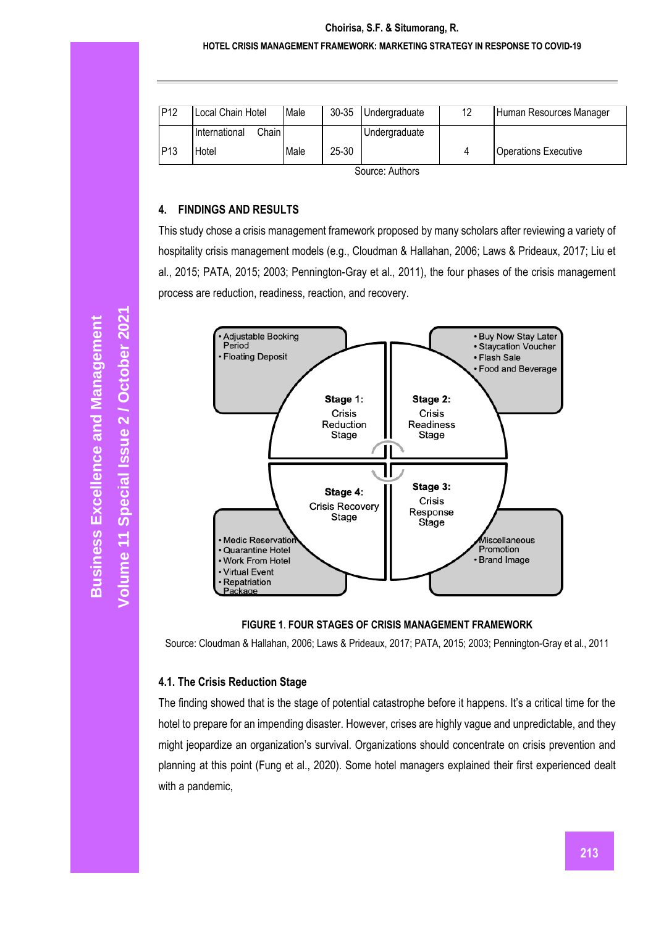|               |                          | Male | $30 - 35$ | Undergraduate | 12 | Human Resources Manager     |
|---------------|--------------------------|------|-----------|---------------|----|-----------------------------|
|               | International<br>Chain I |      |           | Undergraduate |    |                             |
| IP13<br>Hotel |                          | Male | 25-30     |               |    | <b>Operations Executive</b> |

Source: Authors

#### **4. FINDINGS AND RESULTS**

This study chose a crisis management framework proposed by many scholars after reviewing a variety of hospitality crisis management models (e.g., Cloudman & Hallahan, 2006; Laws & Prideaux, 2017; Liu et al., 2015; PATA, 2015; 2003; Pennington-Gray et al., 2011), the four phases of the crisis management process are reduction, readiness, reaction, and recovery.



**FIGURE 1**. **FOUR STAGES OF CRISIS MANAGEMENT FRAMEWORK**

Source: Cloudman & Hallahan, 2006; Laws & Prideaux, 2017; PATA, 2015; 2003; Pennington-Gray et al., 2011

## **4.1. The Crisis Reduction Stage**

The finding showed that is the stage of potential catastrophe before it happens. It's a critical time for the hotel to prepare for an impending disaster. However, crises are highly vague and unpredictable, and they might jeopardize an organization's survival. Organizations should concentrate on crisis prevention and planning at this point (Fung et al., 2020). Some hotel managers explained their first experienced dealt with a pandemic,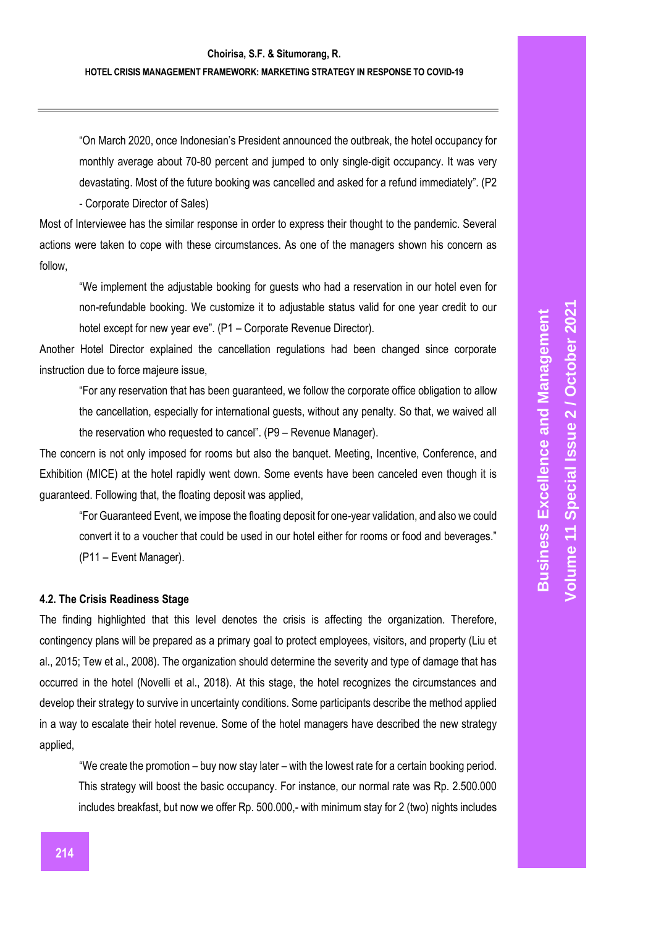"On March 2020, once Indonesian's President announced the outbreak, the hotel occupancy for monthly average about 70 -80 percent and jumped to only single -digit occupancy. It was very devastating. Most of the future booking was cancelled and asked for a refund immediately". (P2

- Corporate Director of Sales)

Most of Interviewee has the similar response in order to express their thought to the pandemic. Several actions were taken to cope with these circumstances. As one of the managers shown his concern as follow,

"We implement the adjustable booking for guests who had a reservation in our hotel even for non -refundable booking. We customize it to adjustable status valid for one year credit to our hotel except for new year eve". (P1 – Corporate Revenue Director).

Another Hotel Director explained the cancellation regulations had been changed since corporate instruction due to force majeure issue,

"For any reservation that has been guaranteed, we follow the corporate office obligation to allow the cancellation, especially for international guests, without any penalty. So that, we waived all the reservation who requested to cancel". (P9 – Revenue Manager).

The concern is not only imposed for rooms but also the banquet. Meeting, Incentive, Conference, and Exhibition (MICE) at the hotel rapidly went down. Some events have been canceled even though it is guaranteed. Following that, the floating deposit was applied,

"For Guaranteed Event, we impose the floating deposit for one -year validation, and also we could convert it to a voucher that could be used in our hotel either for rooms or food and beverages." (P11 – Event Manager).

#### **4.2. The Crisis Readiness Stage**

The finding highlighted that this level denotes the crisis is affecting the organization. Therefore, contingency plans will be prepared as a primary goal to protect employees, visitors, and property (Liu et al., 2015; Tew et al., 2008). The organization should determine the severity and type of damage that has occurred in the hotel (Novelli et al., 2018). At this stage, the hotel recognizes the circumstances and develop their strategy to survive in uncertainty conditions. Some participants describe the method applied in a way to escalate their hotel revenue. Some of the hotel managers have described the new strategy applied,

"We create the promotion – buy now stay later – with the lowest rate for a certain booking period. This strategy will boost the basic occupancy. For instance, our normal rate was Rp. 2.500.000 includes breakfast, but now we offer Rp. 500.000, - with minimum stay for 2 (two) nights includes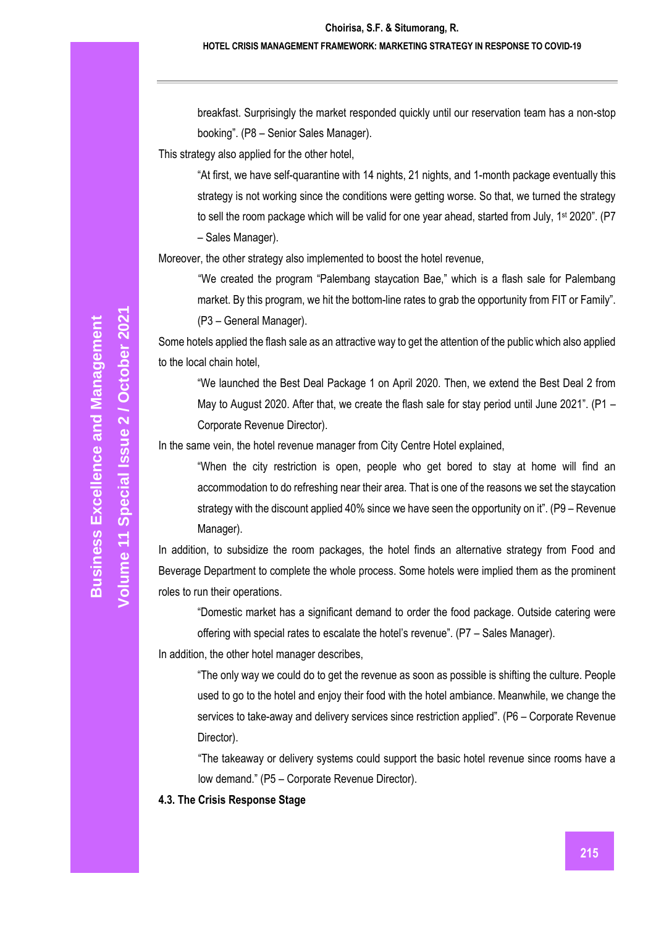#### **HOTEL CRISIS MANAGEMENT FRAMEWORK: MARKETING STRATEGY IN RESPONSE TO COVID-19**

breakfast. Surprisingly the market responded quickly until our reservation team has a non-stop booking". (P8 – Senior Sales Manager).

This strategy also applied for the other hotel,

"At first, we have self-quarantine with 14 nights, 21 nights, and 1-month package eventually this strategy is not working since the conditions were getting worse. So that, we turned the strategy to sell the room package which will be valid for one year ahead, started from July, 1<sup>st</sup> 2020". (P7 – Sales Manager).

Moreover, the other strategy also implemented to boost the hotel revenue,

"We created the program "Palembang staycation Bae," which is a flash sale for Palembang market. By this program, we hit the bottom-line rates to grab the opportunity from FIT or Family". (P3 – General Manager).

Some hotels applied the flash sale as an attractive way to get the attention of the public which also applied to the local chain hotel,

"We launched the Best Deal Package 1 on April 2020. Then, we extend the Best Deal 2 from May to August 2020. After that, we create the flash sale for stay period until June 2021". (P1 – Corporate Revenue Director).

In the same vein, the hotel revenue manager from City Centre Hotel explained,

"When the city restriction is open, people who get bored to stay at home will find an accommodation to do refreshing near their area. That is one of the reasons we set the staycation strategy with the discount applied 40% since we have seen the opportunity on it". (P9 – Revenue Manager).

In addition, to subsidize the room packages, the hotel finds an alternative strategy from Food and Beverage Department to complete the whole process. Some hotels were implied them as the prominent roles to run their operations.

"Domestic market has a significant demand to order the food package. Outside catering were offering with special rates to escalate the hotel's revenue". (P7 – Sales Manager).

In addition, the other hotel manager describes,

"The only way we could do to get the revenue as soon as possible is shifting the culture. People used to go to the hotel and enjoy their food with the hotel ambiance. Meanwhile, we change the services to take-away and delivery services since restriction applied". (P6 – Corporate Revenue Director).

"The takeaway or delivery systems could support the basic hotel revenue since rooms have a low demand." (P5 – Corporate Revenue Director).

**4.3. The Crisis Response Stage**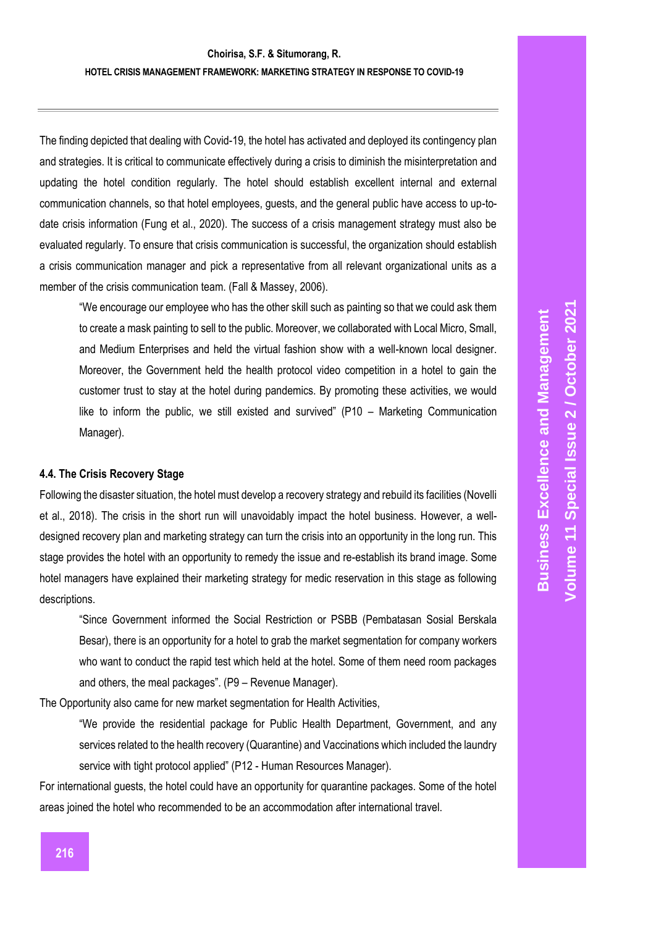# **Choirisa, S.F. & Situmorang, R. HOTEL CRISIS MANAGEMENT FRAMEWORK: MARKETING STRATEGY IN RESPONSE TO COVID -19**

The finding depicted that dealing with Covid -19, the hotel has activated and deployed its contingency plan and strategies. It is critical to communicate effectively during a crisis to diminish the misinterpretation and updating the hotel condition regularly. The hotel should establish excellent internal and external communication channels, so that hotel employees, guests, and the general public have access to up -to date crisis information (Fung et al., 2020). The success of a crisis management strategy must also be evaluated regularly. To ensure that crisis communication is successful, the organization should establish a crisis communication manager and pick a representative from all relevant organizational units as a member of the crisis communication team. (Fall & Massey, 2006).

"We encourage our employee who has the other skill such as painting so that we could ask them to create a mask painting to sell to the public. Moreover, we collaborated with Local Micro, Small, and Medium Enterprises and held the virtual fashion show with a well -known local designer. Moreover, the Government held the health protocol video competition in a hotel to gain the customer trust to stay at the hotel during pandemics. By promoting these activities, we would like to inform the public, we still existed and survived" (P10 - Marketing Communication Manager).

#### **4.4. The Crisis Recovery Stage**

Following the disaster situation, the hotel must develop a recovery strategy and rebuild its facilities (Novelli et al., 2018). The crisis in the short run will unavoidably impact the hotel business. However, a well designed recovery plan and marketing strategy can turn the crisis into an opportunity in the long run. This stage provides the hotel with an opportunity to remedy the issue and re -establish its brand image. Some hotel managers have explained their marketing strategy for medic reservation in this stage as following descriptions.

"Since Government informed the Social Restriction or PSBB (Pembatasan Sosial Berskala Besar), there is an opportunity for a hotel to grab the market segmentation for company workers who want to conduct the rapid test which held at the hotel. Some of them need room packages and others, the meal packages". (P9 – Revenue Manager).

The Opportunity also came for new market segmentation for Health Activities,

"We provide the residential package for Public Health Department, Government, and any services related to the health recovery (Quarantine) and Vaccinations which included the laundry service with tight protocol applied" (P12 - Human Resources Manager).

For international guests, the hotel could have an opportunity for quarantine packages. Some of the hotel areas joined the hotel who recommended to be an accommodation after international travel.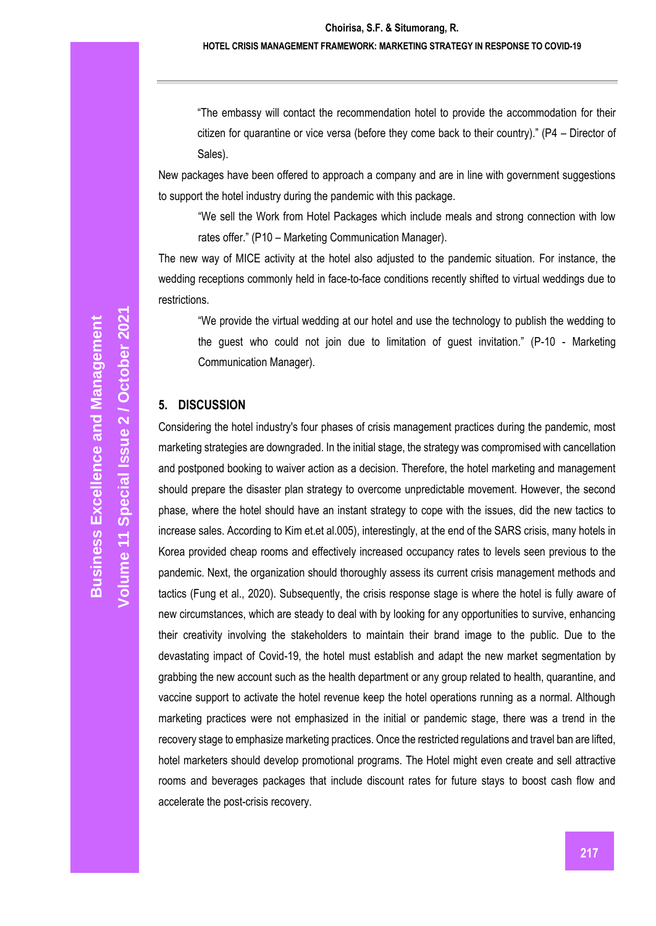"The embassy will contact the recommendation hotel to provide the accommodation for their citizen for quarantine or vice versa (before they come back to their country)." (P4 – Director of Sales).

New packages have been offered to approach a company and are in line with government suggestions to support the hotel industry during the pandemic with this package.

"We sell the Work from Hotel Packages which include meals and strong connection with low rates offer." (P10 – Marketing Communication Manager).

The new way of MICE activity at the hotel also adjusted to the pandemic situation. For instance, the wedding receptions commonly held in face-to-face conditions recently shifted to virtual weddings due to restrictions.

"We provide the virtual wedding at our hotel and use the technology to publish the wedding to the guest who could not join due to limitation of guest invitation." (P-10 - Marketing Communication Manager).

#### **5. DISCUSSION**

Considering the hotel industry's four phases of crisis management practices during the pandemic, most marketing strategies are downgraded. In the initial stage, the strategy was compromised with cancellation and postponed booking to waiver action as a decision. Therefore, the hotel marketing and management should prepare the disaster plan strategy to overcome unpredictable movement. However, the second phase, where the hotel should have an instant strategy to cope with the issues, did the new tactics to increase sales. According to Kim et.et al.005), interestingly, at the end of the SARS crisis, many hotels in Korea provided cheap rooms and effectively increased occupancy rates to levels seen previous to the pandemic. Next, the organization should thoroughly assess its current crisis management methods and tactics (Fung et al., 2020). Subsequently, the crisis response stage is where the hotel is fully aware of new circumstances, which are steady to deal with by looking for any opportunities to survive, enhancing their creativity involving the stakeholders to maintain their brand image to the public. Due to the devastating impact of Covid-19, the hotel must establish and adapt the new market segmentation by grabbing the new account such as the health department or any group related to health, quarantine, and vaccine support to activate the hotel revenue keep the hotel operations running as a normal. Although marketing practices were not emphasized in the initial or pandemic stage, there was a trend in the recovery stage to emphasize marketing practices. Once the restricted regulations and travel ban are lifted, hotel marketers should develop promotional programs. The Hotel might even create and sell attractive rooms and beverages packages that include discount rates for future stays to boost cash flow and accelerate the post-crisis recovery.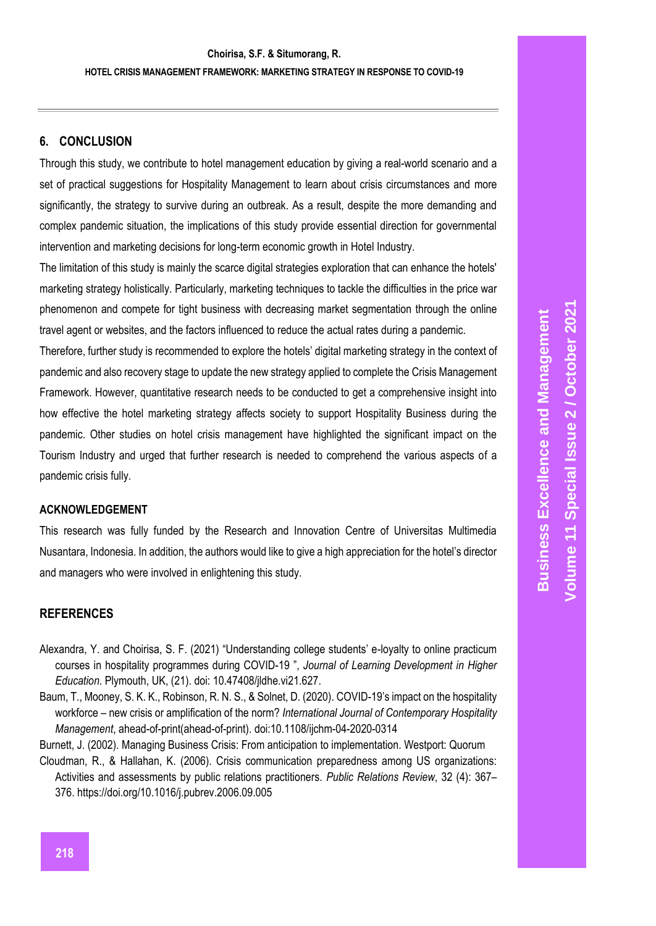# **6. CONCLUSION**

Through this study, we contribute to hotel management education by giving a real -world scenario and a set of practical suggestions for Hospitality Management to learn about crisis circumstances and more significantly, the strategy to survive during an outbreak. As a result, despite the more demanding and complex pandemic situation, the implications of this study provide essential direction for governmental intervention and marketing decisions for long -term economic growth in Hotel Industry.

The limitation of this study is mainly the scarce digital strategies exploration that can enhance the hotels' marketing strategy holistically. Particularly, marketing technique s to tackle the difficulties in the price war phenomenon and compete for tight business with decreasing market segmentation through the online travel agent or websites, and the factors influenced to reduce the actual rates during a pandemic.

Therefore, further study is recommended to explore the hotels' digital marketing strategy in the context of pandemic and also recovery stage to update the new strategy applied to complete the Crisis Management Framework. However, quantitative research needs to be conducted to get a comprehensive insight into how effective the hotel marketing strategy affects society to support Hospitality Business during the pandemic. Other studies on hotel crisis management have highlighted the significant impact on the Tourism Industry and urged that further research is needed to comprehend the various aspects of a pandemic crisis fully.

## **ACKNOWLEDGEMENT**

This research was fully funded by the Research and Innovation Centre of Universitas Multimedia Nusantara, Indonesia. In addition, the authors would like to give a high appreciation for the hotel's director and managers who were involved in enlightening this study.

## **REFERENCES**

- Alexandra, Y. and Choirisa, S. F. (2021) "Understanding college students' e -loyalty to online practicum courses in hospitality programmes during COVID -19 ", *Journal of Learning Development in Higher Education*. Plymouth, UK, (21). doi: 10.47408/jldhe.vi21.627.
- Baum, T., Mooney, S. K. K., Robinson, R. N. S., & Solnet, D. (2020). COVID-19's impact on the hospitality workforce – new crisis or amplification of the norm? *International Journal of Contemporary Hospitality*  Management, ahead-of-print(ahead-of-print). doi:10.1108/ijchm-04-2020-0314
- Burnett, J. (2002). Managing Business Crisis: From anticipation to implementation. Westport: Quorum
- Cloudman, R., & Hallahan, K. (2006). Crisis communication preparedness among US organizations: Activities and assessments by public relations practitioners. *Public Relations Review*, 32 (4): 367 – 376.<https://doi.org/10.1016/j.pubrev.2006.09.005>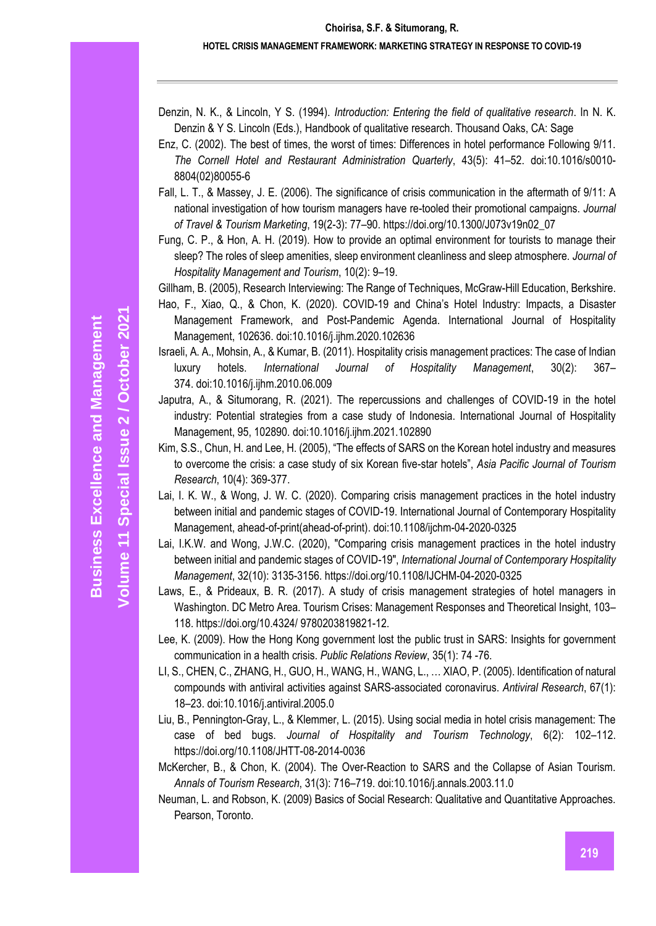#### **HOTEL CRISIS MANAGEMENT FRAMEWORK: MARKETING STRATEGY IN RESPONSE TO COVID-19**

Denzin, N. K., & Lincoln, Y S. (1994). *Introduction: Entering the field of qualitative research*. In N. K. Denzin & Y S. Lincoln (Eds.), Handbook of qualitative research. Thousand Oaks, CA: Sage

- Enz, C. (2002). The best of times, the worst of times: Differences in hotel performance Following 9/11. *The Cornell Hotel and Restaurant Administration Quarterly*, 43(5): 41–52. doi:10.1016/s0010- 8804(02)80055-6
- Fall, L. T., & Massey, J. E. (2006). The significance of crisis communication in the aftermath of 9/11: A national investigation of how tourism managers have re-tooled their promotional campaigns. *Journal of Travel & Tourism Marketing*, 19(2-3): 77–90. [https://doi.org/10.1300/J073v19n02\\_07](https://doi.org/10.1300/J073v19n02_07)
- Fung, C. P., & Hon, A. H. (2019). How to provide an optimal environment for tourists to manage their sleep? The roles of sleep amenities, sleep environment cleanliness and sleep atmosphere. *Journal of Hospitality Management and Tourism*, 10(2): 9–19.

Gillham, B. (2005), Research Interviewing: The Range of Techniques, McGraw-Hill Education, Berkshire.

- Hao, F., Xiao, Q., & Chon, K. (2020). COVID-19 and China's Hotel Industry: Impacts, a Disaster Management Framework, and Post-Pandemic Agenda. International Journal of Hospitality Management, 102636. doi:10.1016/j.ijhm.2020.102636
- Israeli, A. A., Mohsin, A., & Kumar, B. (2011). Hospitality crisis management practices: The case of Indian luxury hotels. *International Journal of Hospitality Management*, 30(2): 367– 374. doi:10.1016/j.ijhm.2010.06.009
- Japutra, A., & Situmorang, R. (2021). The repercussions and challenges of COVID-19 in the hotel industry: Potential strategies from a case study of Indonesia. International Journal of Hospitality Management, 95, 102890. doi:10.1016/j.ijhm.2021.102890
- Kim, S.S., Chun, H. and Lee, H. (2005), "The effects of SARS on the Korean hotel industry and measures to overcome the crisis: a case study of six Korean five-star hotels", *Asia Pacific Journal of Tourism Research*, 10(4): 369-377.
- Lai, I. K. W., & Wong, J. W. C. (2020). Comparing crisis management practices in the hotel industry between initial and pandemic stages of COVID-19. International Journal of Contemporary Hospitality Management, ahead-of-print(ahead-of-print). doi:10.1108/ijchm-04-2020-0325
- [Lai, I.K.W.](https://www.emerald.com/insight/search?q=Ivan%20Ka%20Wai%20Lai) and [Wong, J.W.C.](https://www.emerald.com/insight/search?q=Jose%20Weng%20Chou%20Wong) (2020), "Comparing crisis management practices in the hotel industry between initial and pandemic stages of COVID-19", *[International Journal of Contemporary Hospitality](https://www.emerald.com/insight/publication/issn/0959-6119)  [Management](https://www.emerald.com/insight/publication/issn/0959-6119)*, 32(10): 3135-3156. <https://doi.org/10.1108/IJCHM-04-2020-0325>
- Laws, E., & Prideaux, B. R. (2017). A study of crisis management strategies of hotel managers in Washington. DC Metro Area. Tourism Crises: Management Responses and Theoretical Insight, 103– 118. https://doi.org/10.4324/ 9780203819821-12.
- Lee, K. (2009). How the Hong Kong government lost the public trust in SARS: Insights for government communication in a health crisis. *Public Relations Review*, 35(1): 74 -76.
- LI, S., CHEN, C., ZHANG, H., GUO, H., WANG, H., WANG, L., … XIAO, P. (2005). Identification of natural compounds with antiviral activities against SARS-associated coronavirus. *Antiviral Research*, 67(1): 18–23. doi:10.1016/j.antiviral.2005.0
- Liu, B., Pennington-Gray, L., & Klemmer, L. (2015). Using social media in hotel crisis management: The case of bed bugs. *Journal of Hospitality and Tourism Technology*, 6(2): 102–112. https://doi.org/10.1108/JHTT-08-2014-0036
- McKercher, B., & Chon, K. (2004). The Over-Reaction to SARS and the Collapse of Asian Tourism. *Annals of Tourism Research*, 31(3): 716–719. doi:10.1016/j.annals.2003.11.0
- Neuman, L. and Robson, K. (2009) Basics of Social Research: Qualitative and Quantitative Approaches. Pearson, Toronto.